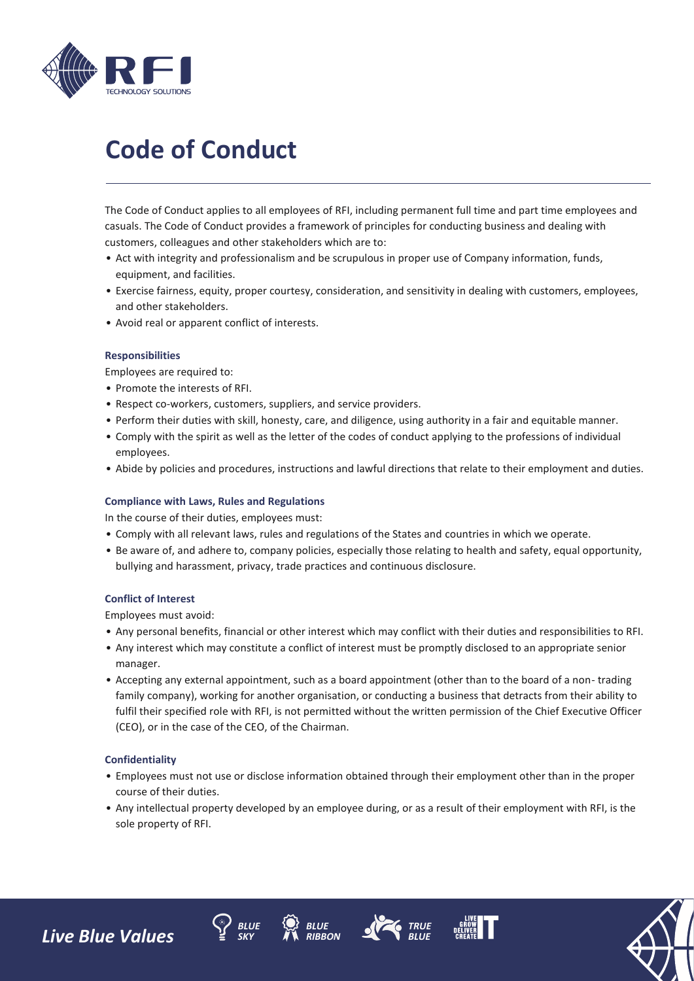

# **Code of Conduct**

The Code of Conduct applies to all employees of RFI, including permanent full time and part time employees and casuals. The Code of Conduct provides a framework of principles for conducting business and dealing with customers, colleagues and other stakeholders which are to:

- Act with integrity and professionalism and be scrupulous in proper use of Company information, funds, equipment, and facilities.
- Exercise fairness, equity, proper courtesy, consideration, and sensitivity in dealing with customers, employees, and other stakeholders.
- Avoid real or apparent conflict of interests.

# **Responsibilities**

Employees are required to:

- Promote the interests of RFI.
- Respect co-workers, customers, suppliers, and service providers.
- Perform their duties with skill, honesty, care, and diligence, using authority in a fair and equitable manner.
- Comply with the spirit as well as the letter of the codes of conduct applying to the professions of individual employees.
- Abide by policies and procedures, instructions and lawful directions that relate to their employment and duties.

# **Compliance with Laws, Rules and Regulations**

In the course of their duties, employees must:

- Comply with all relevant laws, rules and regulations of the States and countries in which we operate.
- Be aware of, and adhere to, company policies, especially those relating to health and safety, equal opportunity, bullying and harassment, privacy, trade practices and continuous disclosure.

# **Conflict of Interest**

Employees must avoid:

- Any personal benefits, financial or other interest which may conflict with their duties and responsibilities to RFI.
- Any interest which may constitute a conflict of interest must be promptly disclosed to an appropriate senior manager.
- Accepting any external appointment, such as a board appointment (other than to the board of a non- trading family company), working for another organisation, or conducting a business that detracts from their ability to fulfil their specified role with RFI, is not permitted without the written permission of the Chief Executive Officer (CEO), or in the case of the CEO, of the Chairman.

# **Confidentiality**

- Employees must not use or disclose information obtained through their employment other than in the proper course of their duties.
- Any intellectual property developed by an employee during, or as a result of their employment with RFI, is the sole property of RFI.











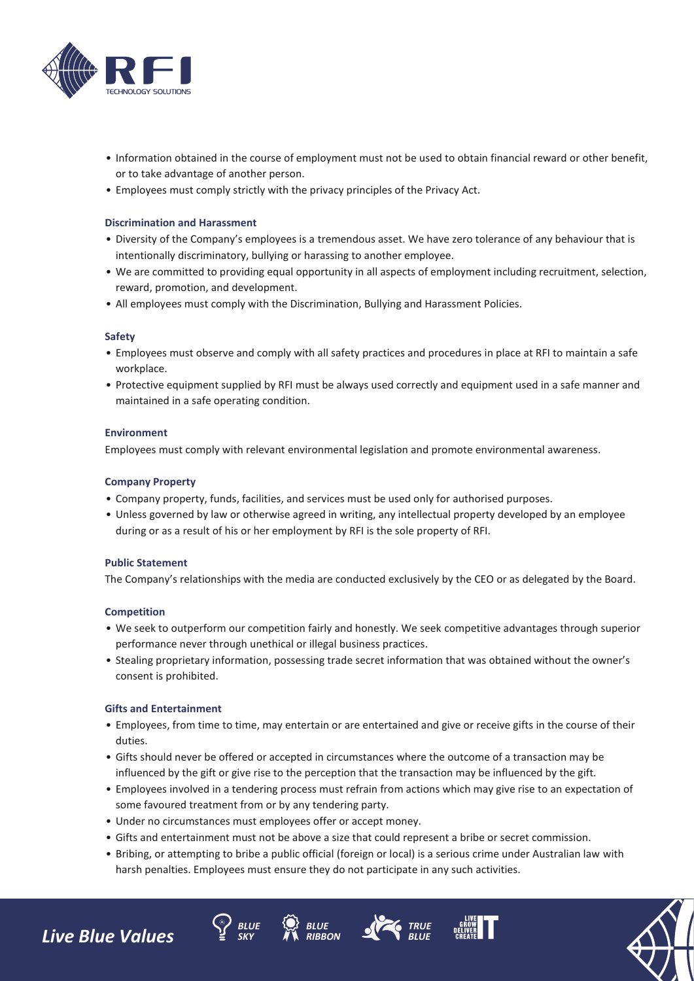

- Information obtained in the course of employment must not be used to obtain financial reward or other benefit, or to take advantage of another person.
- Employees must comply strictly with the privacy principles of the Privacy Act.

# **Discrimination and Harassment**

- Diversity of the Company's employees is a tremendous asset. We have zero tolerance of any behaviour that is intentionally discriminatory, bullying or harassing to another employee.
- We are committed to providing equal opportunity in all aspects of employment including recruitment, selection, reward, promotion, and development.
- All employees must comply with the Discrimination, Bullying and Harassment Policies.

# **Safety**

- Employees must observe and comply with all safety practices and procedures in place at RFI to maintain a safe workplace.
- Protective equipment supplied by RFI must be always used correctly and equipment used in a safe manner and maintained in a safe operating condition.

#### **Environment**

Employees must comply with relevant environmental legislation and promote environmental awareness.

# **Company Property**

- Company property, funds, facilities, and services must be used only for authorised purposes.
- Unless governed by law or otherwise agreed in writing, any intellectual property developed by an employee during or as a result of his or her employment by RFI is the sole property of RFI.

# **Public Statement**

The Company's relationships with the media are conducted exclusively by the CEO or as delegated by the Board.

# **Competition**

- We seek to outperform our competition fairly and honestly. We seek competitive advantages through superior performance never through unethical or illegal business practices.
- Stealing proprietary information, possessing trade secret information that was obtained without the owner's consent is prohibited.

# **Gifts and Entertainment**

*Live Blue Values BLUE*

- Employees, from time to time, may entertain or are entertained and give or receive gifts in the course of their duties.
- Gifts should never be offered or accepted in circumstances where the outcome of a transaction may be influenced by the gift or give rise to the perception that the transaction may be influenced by the gift.
- Employees involved in a tendering process must refrain from actions which may give rise to an expectation of some favoured treatment from or by any tendering party.
- Under no circumstances must employees offer or accept money.

*SKY*

• Gifts and entertainment must not be above a size that could represent a bribe or secret commission.

*BLUE RIBBON*

• Bribing, or attempting to bribe a public official (foreign or local) is a serious crime under Australian law with harsh penalties. Employees must ensure they do not participate in any such activities.

> *TRUE BLUE*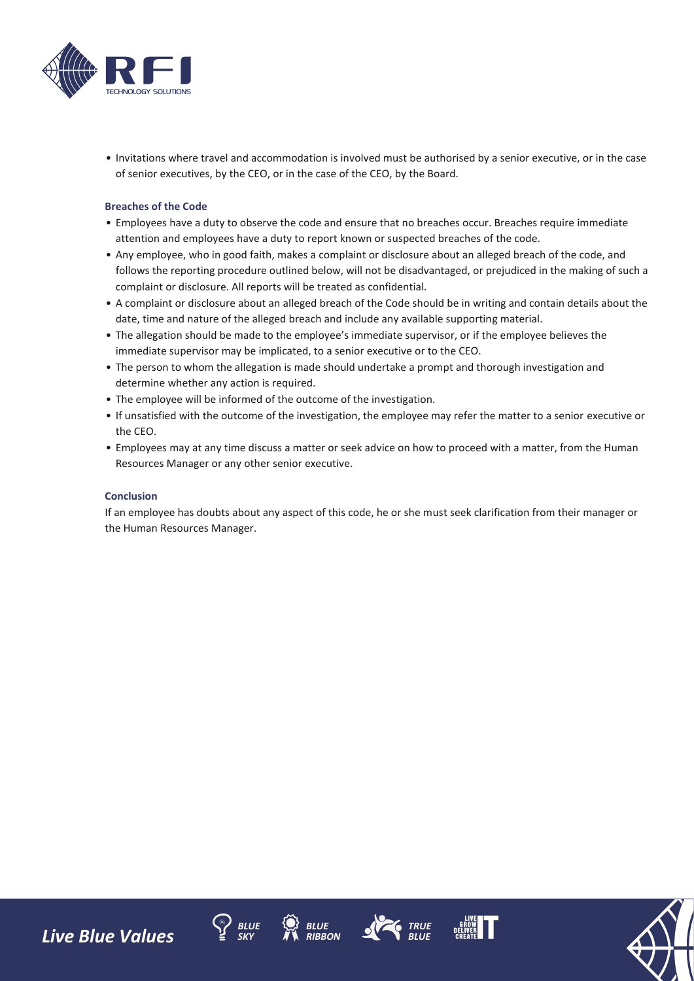

• Invitations where travel and accommodation is involved must be authorised by a senior executive, or in the case of senior executives, by the CEO, or in the case of the CEO, by the Board.

# **Breaches of the Code**

- Employees have a duty to observe the code and ensure that no breaches occur. Breaches require immediate attention and employees have a duty to report known or suspected breaches of the code.
- Any employee, who in good faith, makes a complaint or disclosure about an alleged breach of the code, and follows the reporting procedure outlined below, will not be disadvantaged, or prejudiced in the making of such a complaint or disclosure. All reports will be treated as confidential.
- A complaint or disclosure about an alleged breach of the Code should be in writing and contain details about the date, time and nature of the alleged breach and include any available supporting material.
- The allegation should be made to the employee's immediate supervisor, or if the employee believes the immediate supervisor may be implicated, to a senior executive or to the CEO.
- The person to whom the allegation is made should undertake a prompt and thorough investigation and determine whether any action is required.
- The employee will be informed of the outcome of the investigation.
- If unsatisfied with the outcome of the investigation, the employee may refer the matter to a senior executive or the CEO.
- Employees may at any time discuss a matter or seek advice on how to proceed with a matter, from the Human Resources Manager or any other senior executive.

# **Conclusion**

If an employee has doubts about any aspect of this code, he or she must seek clarification from their manager or the Human Resources Manager.













*Live Blue Values BLUE*